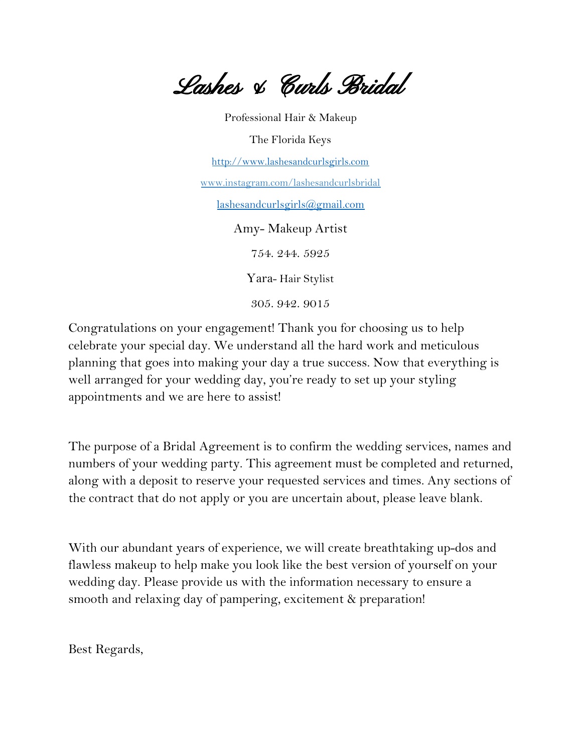Lashes & Curls Bridal

Professional Hair & Makeup The Florida Keys [http://www.lashesandcurlsgirls.com](http://www.lashesandcurlsgirls.com/) www.instagram.com/lashesandcurlsbridal [lashesandcurlsgirls@gmail.com](mailto:lashesandcurlsgirls@gmail.com) Amy- Makeup Artist 754. 244. 5925 Yara- Hair Stylist 305. 942. 9015

Congratulations on your engagement! Thank you for choosing us to help celebrate your special day. We understand all the hard work and meticulous planning that goes into making your day a true success. Now that everything is well arranged for your wedding day, you're ready to set up your styling appointments and we are here to assist!

The purpose of a Bridal Agreement is to confirm the wedding services, names and numbers of your wedding party. This agreement must be completed and returned, along with a deposit to reserve your requested services and times. Any sections of the contract that do not apply or you are uncertain about, please leave blank.

With our abundant years of experience, we will create breathtaking up-dos and flawless makeup to help make you look like the best version of yourself on your wedding day. Please provide us with the information necessary to ensure a smooth and relaxing day of pampering, excitement & preparation!

Best Regards,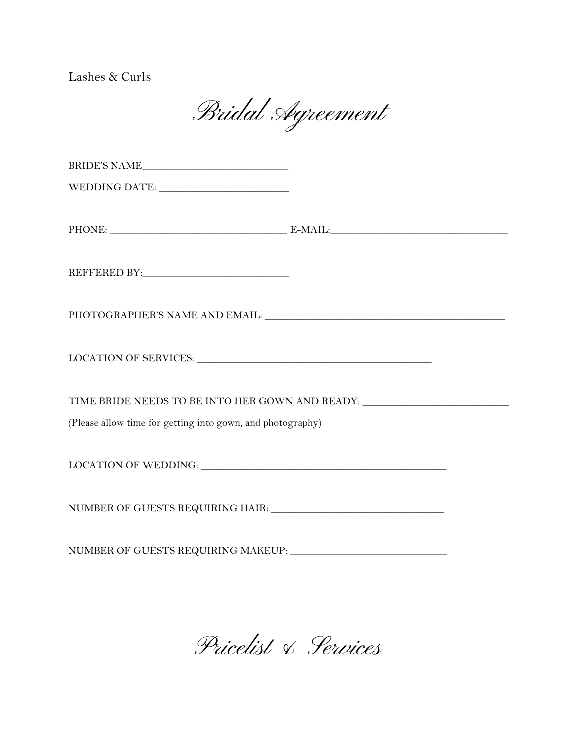Lashes & Curls

Bridal Agreement

| $\label{eq:WEDDING} \begin{minipage}{0.9\linewidth} \textbf{WEDDING DATAE:}\footnotesize \begin{minipage}{0.9\linewidth} \textbf{MEDDING DATAE:}\footnotesize \end{minipage}$ |  |  |
|-------------------------------------------------------------------------------------------------------------------------------------------------------------------------------|--|--|
|                                                                                                                                                                               |  |  |
|                                                                                                                                                                               |  |  |
|                                                                                                                                                                               |  |  |
|                                                                                                                                                                               |  |  |
|                                                                                                                                                                               |  |  |
|                                                                                                                                                                               |  |  |
|                                                                                                                                                                               |  |  |
| LOCATION OF SERVICES: University of the SERVICES:                                                                                                                             |  |  |
|                                                                                                                                                                               |  |  |
| TIME BRIDE NEEDS TO BE INTO HER GOWN AND READY: _________________________________                                                                                             |  |  |
| (Please allow time for getting into gown, and photography)                                                                                                                    |  |  |
|                                                                                                                                                                               |  |  |
|                                                                                                                                                                               |  |  |
|                                                                                                                                                                               |  |  |
|                                                                                                                                                                               |  |  |
|                                                                                                                                                                               |  |  |
|                                                                                                                                                                               |  |  |

Pricelist & Services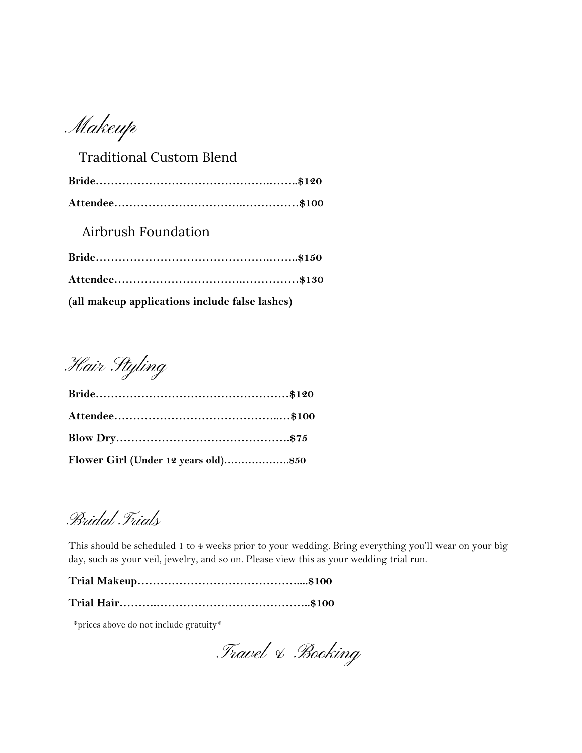Makeup

| <b>Traditional Custom Blend</b>                |  |
|------------------------------------------------|--|
|                                                |  |
|                                                |  |
| Airbrush Foundation                            |  |
|                                                |  |
|                                                |  |
| (all makeup applications include false lashes) |  |

Hair Styling

| Flower Girl (Under 12 years old)\$50 |  |
|--------------------------------------|--|

Bridal Trials

This should be scheduled 1 to 4 weeks prior to your wedding. Bring everything you'll wear on your big day, such as your veil, jewelry, and so on. Please view this as your wedding trial run.

**Trial Hair……….…………………………………..\$100**

\*prices above do not include gratuity\*

Travel & Booking